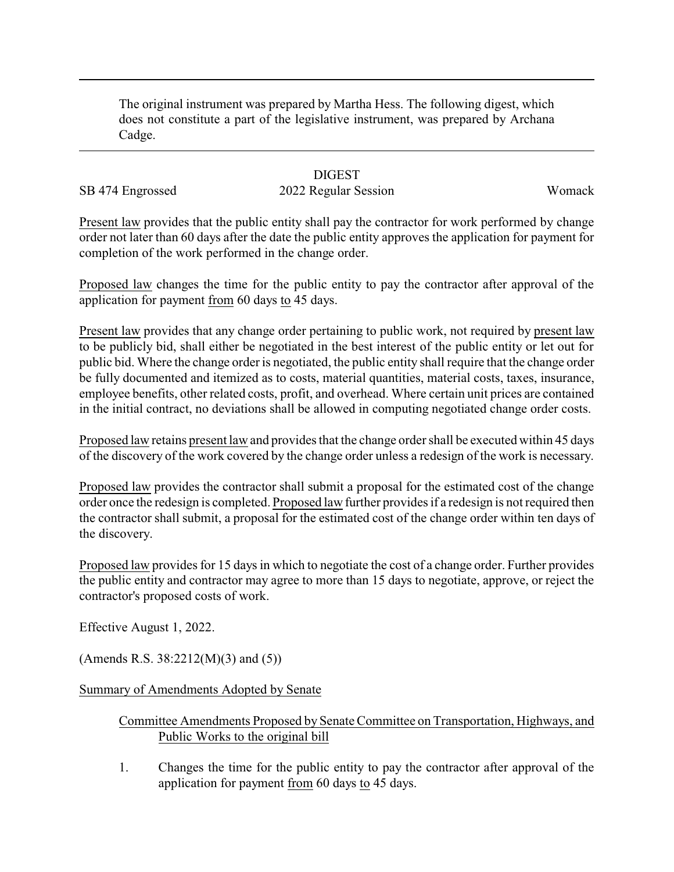The original instrument was prepared by Martha Hess. The following digest, which does not constitute a part of the legislative instrument, was prepared by Archana Cadge.

## **DIGEST**

## SB 474 Engrossed 2022 Regular Session Womack

Present law provides that the public entity shall pay the contractor for work performed by change order not later than 60 days after the date the public entity approves the application for payment for completion of the work performed in the change order.

Proposed law changes the time for the public entity to pay the contractor after approval of the application for payment from 60 days to 45 days.

Present law provides that any change order pertaining to public work, not required by present law to be publicly bid, shall either be negotiated in the best interest of the public entity or let out for public bid. Where the change order is negotiated, the public entity shall require that the change order be fully documented and itemized as to costs, material quantities, material costs, taxes, insurance, employee benefits, other related costs, profit, and overhead. Where certain unit prices are contained in the initial contract, no deviations shall be allowed in computing negotiated change order costs.

Proposed law retains present law and provides that the change order shall be executed within 45 days of the discovery of the work covered by the change order unless a redesign of the work is necessary.

Proposed law provides the contractor shall submit a proposal for the estimated cost of the change order once the redesign is completed. Proposed law further provides if a redesign is not required then the contractor shall submit, a proposal for the estimated cost of the change order within ten days of the discovery.

Proposed law provides for 15 days in which to negotiate the cost of a change order. Further provides the public entity and contractor may agree to more than 15 days to negotiate, approve, or reject the contractor's proposed costs of work.

Effective August 1, 2022.

(Amends R.S.  $38:2212(M)(3)$  and  $(5)$ )

Summary of Amendments Adopted by Senate

## Committee Amendments Proposed by Senate Committee on Transportation, Highways, and Public Works to the original bill

1. Changes the time for the public entity to pay the contractor after approval of the application for payment from 60 days to 45 days.